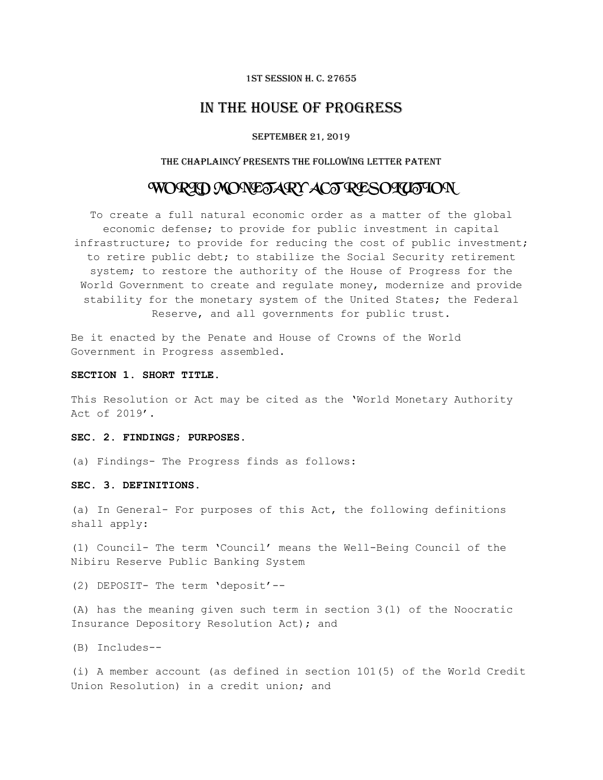#### 1st Session H. C. 27655

# IN THE HOUSE OF PROGRESS

## September 21, 2019

# THE CHAPLAINCY PRESENTS the following LETTER PATENT

# WORLD MONETARY ACT RESOLUTION

To create a full natural economic order as a matter of the global economic defense; to provide for public investment in capital infrastructure; to provide for reducing the cost of public investment; to retire public debt; to stabilize the Social Security retirement system; to restore the authority of the House of Progress for the World Government to create and regulate money, modernize and provide stability for the monetary system of the United States; the Federal Reserve, and all governments for public trust.

Be it enacted by the Penate and House of Crowns of the World Government in Progress assembled.

# **SECTION 1. SHORT TITLE.**

This Resolution or Act may be cited as the 'World Monetary Authority Act of 2019'.

#### **SEC. 2. FINDINGS; PURPOSES.**

(a) Findings- The Progress finds as follows:

## **SEC. 3. DEFINITIONS.**

(a) In General- For purposes of this Act, the following definitions shall apply:

(1) Council- The term 'Council' means the Well-Being Council of the Nibiru Reserve Public Banking System

(2) DEPOSIT- The term 'deposit'--

(A) has the meaning given such term in section 3(l) of the Noocratic Insurance Depository Resolution Act); and

(B) Includes--

(i) A member account (as defined in section 101(5) of the World Credit Union Resolution) in a credit union; and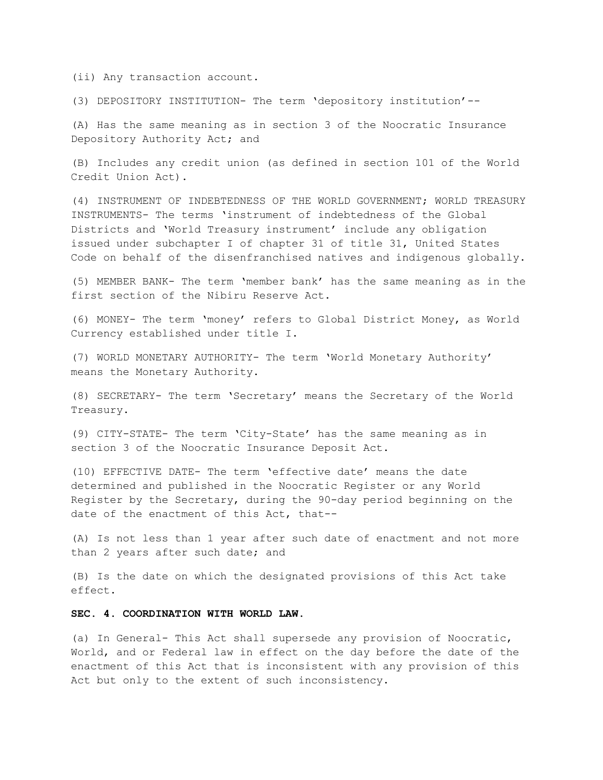(ii) Any transaction account.

(3) DEPOSITORY INSTITUTION- The term 'depository institution'--

(A) Has the same meaning as in section 3 of the Noocratic Insurance Depository Authority Act; and

(B) Includes any credit union (as defined in section 101 of the World Credit Union Act).

(4) INSTRUMENT OF INDEBTEDNESS OF THE WORLD GOVERNMENT; WORLD TREASURY INSTRUMENTS- The terms 'instrument of indebtedness of the Global Districts and 'World Treasury instrument' include any obligation issued under subchapter I of chapter 31 of title 31, United States Code on behalf of the disenfranchised natives and indigenous globally.

(5) MEMBER BANK- The term 'member bank' has the same meaning as in the first section of the Nibiru Reserve Act.

(6) MONEY- The term 'money' refers to Global District Money, as World Currency established under title I.

(7) WORLD MONETARY AUTHORITY- The term 'World Monetary Authority' means the Monetary Authority.

(8) SECRETARY- The term 'Secretary' means the Secretary of the World Treasury.

(9) CITY-STATE- The term 'City-State' has the same meaning as in section 3 of the Noocratic Insurance Deposit Act.

(10) EFFECTIVE DATE- The term 'effective date' means the date determined and published in the Noocratic Register or any World Register by the Secretary, during the 90-day period beginning on the date of the enactment of this Act, that--

(A) Is not less than 1 year after such date of enactment and not more than 2 years after such date; and

(B) Is the date on which the designated provisions of this Act take effect.

# **SEC. 4. COORDINATION WITH WORLD LAW**.

(a) In General- This Act shall supersede any provision of Noocratic, World, and or Federal law in effect on the day before the date of the enactment of this Act that is inconsistent with any provision of this Act but only to the extent of such inconsistency.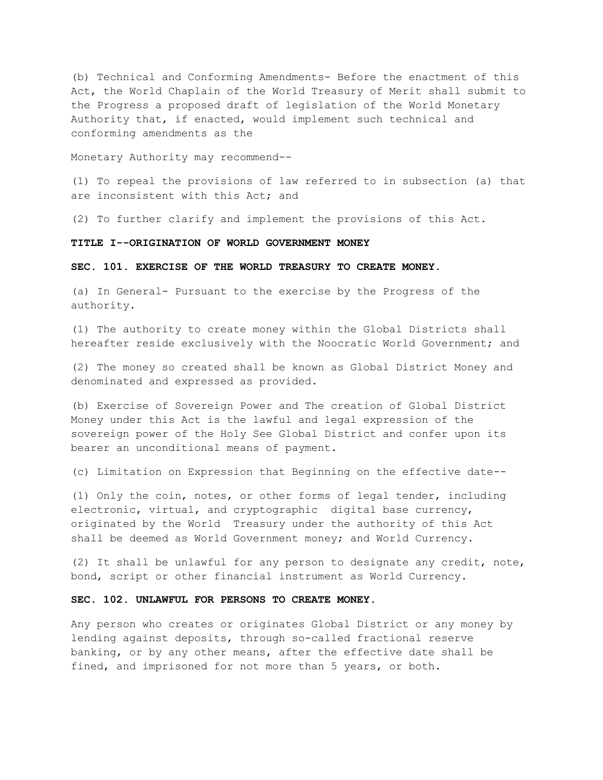(b) Technical and Conforming Amendments- Before the enactment of this Act, the World Chaplain of the World Treasury of Merit shall submit to the Progress a proposed draft of legislation of the World Monetary Authority that, if enacted, would implement such technical and conforming amendments as the

Monetary Authority may recommend--

(1) To repeal the provisions of law referred to in subsection (a) that are inconsistent with this Act; and

(2) To further clarify and implement the provisions of this Act.

# **TITLE I--ORIGINATION OF WORLD GOVERNMENT MONEY**

#### **SEC. 101. EXERCISE OF THE WORLD TREASURY TO CREATE MONEY.**

(a) In General- Pursuant to the exercise by the Progress of the authority.

(1) The authority to create money within the Global Districts shall hereafter reside exclusively with the Noocratic World Government; and

(2) The money so created shall be known as Global District Money and denominated and expressed as provided.

(b) Exercise of Sovereign Power and The creation of Global District Money under this Act is the lawful and legal expression of the sovereign power of the Holy See Global District and confer upon its bearer an unconditional means of payment.

(c) Limitation on Expression that Beginning on the effective date--

(1) Only the coin, notes, or other forms of legal tender, including electronic, virtual, and cryptographic digital base currency, originated by the World Treasury under the authority of this Act shall be deemed as World Government money; and World Currency.

(2) It shall be unlawful for any person to designate any credit, note, bond, script or other financial instrument as World Currency.

# **SEC. 102. UNLAWFUL FOR PERSONS TO CREATE MONEY.**

Any person who creates or originates Global District or any money by lending against deposits, through so-called fractional reserve banking, or by any other means, after the effective date shall be fined, and imprisoned for not more than 5 years, or both.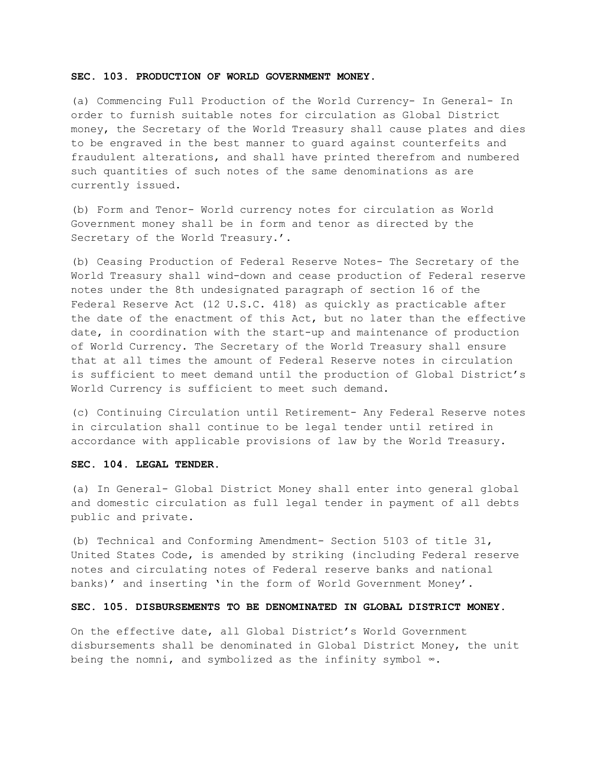#### **SEC. 103. PRODUCTION OF WORLD GOVERNMENT MONEY.**

(a) Commencing Full Production of the World Currency- In General- In order to furnish suitable notes for circulation as Global District money, the Secretary of the World Treasury shall cause plates and dies to be engraved in the best manner to guard against counterfeits and fraudulent alterations, and shall have printed therefrom and numbered such quantities of such notes of the same denominations as are currently issued.

(b) Form and Tenor- World currency notes for circulation as World Government money shall be in form and tenor as directed by the Secretary of the World Treasury.'.

(b) Ceasing Production of Federal Reserve Notes- The Secretary of the World Treasury shall wind-down and cease production of Federal reserve notes under the 8th undesignated paragraph of section 16 of the Federal Reserve Act (12 U.S.C. 418) as quickly as practicable after the date of the enactment of this Act, but no later than the effective date, in coordination with the start-up and maintenance of production of World Currency. The Secretary of the World Treasury shall ensure that at all times the amount of Federal Reserve notes in circulation is sufficient to meet demand until the production of Global District's World Currency is sufficient to meet such demand.

(c) Continuing Circulation until Retirement- Any Federal Reserve notes in circulation shall continue to be legal tender until retired in accordance with applicable provisions of law by the World Treasury.

# **SEC. 104. LEGAL TENDER.**

(a) In General- Global District Money shall enter into general global and domestic circulation as full legal tender in payment of all debts public and private.

(b) Technical and Conforming Amendment- Section 5103 of title 31, United States Code, is amended by striking (including Federal reserve notes and circulating notes of Federal reserve banks and national banks)' and inserting 'in the form of World Government Money'.

# **SEC. 105. DISBURSEMENTS TO BE DENOMINATED IN GLOBAL DISTRICT MONEY.**

On the effective date, all Global District's World Government disbursements shall be denominated in Global District Money, the unit being the nomni, and symbolized as the infinity symbol ∞.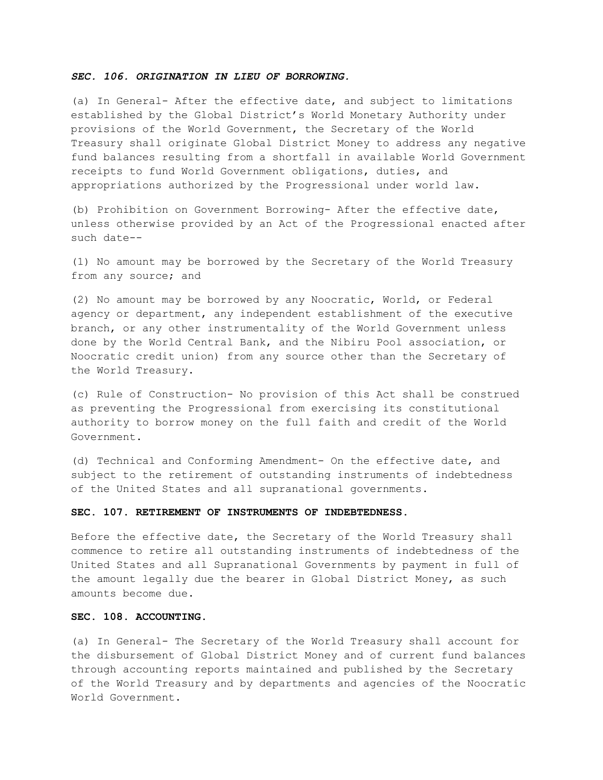# *SEC. 106. ORIGINATION IN LIEU OF BORROWING.*

(a) In General- After the effective date, and subject to limitations established by the Global District's World Monetary Authority under provisions of the World Government, the Secretary of the World Treasury shall originate Global District Money to address any negative fund balances resulting from a shortfall in available World Government receipts to fund World Government obligations, duties, and appropriations authorized by the Progressional under world law.

(b) Prohibition on Government Borrowing- After the effective date, unless otherwise provided by an Act of the Progressional enacted after such date--

(1) No amount may be borrowed by the Secretary of the World Treasury from any source; and

(2) No amount may be borrowed by any Noocratic, World, or Federal agency or department, any independent establishment of the executive branch, or any other instrumentality of the World Government unless done by the World Central Bank, and the Nibiru Pool association, or Noocratic credit union) from any source other than the Secretary of the World Treasury.

(c) Rule of Construction- No provision of this Act shall be construed as preventing the Progressional from exercising its constitutional authority to borrow money on the full faith and credit of the World Government.

(d) Technical and Conforming Amendment- On the effective date, and subject to the retirement of outstanding instruments of indebtedness of the United States and all supranational governments.

#### **SEC. 107. RETIREMENT OF INSTRUMENTS OF INDEBTEDNESS.**

Before the effective date, the Secretary of the World Treasury shall commence to retire all outstanding instruments of indebtedness of the United States and all Supranational Governments by payment in full of the amount legally due the bearer in Global District Money, as such amounts become due.

# **SEC. 108. ACCOUNTING.**

(a) In General- The Secretary of the World Treasury shall account for the disbursement of Global District Money and of current fund balances through accounting reports maintained and published by the Secretary of the World Treasury and by departments and agencies of the Noocratic World Government.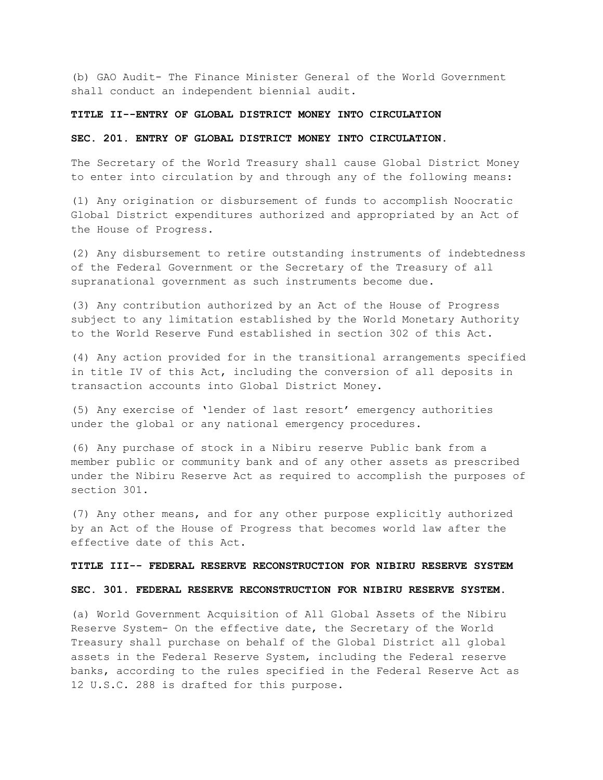(b) GAO Audit- The Finance Minister General of the World Government shall conduct an independent biennial audit.

# **TITLE II--ENTRY OF GLOBAL DISTRICT MONEY INTO CIRCULATION**

#### **SEC. 201. ENTRY OF GLOBAL DISTRICT MONEY INTO CIRCULATION.**

The Secretary of the World Treasury shall cause Global District Money to enter into circulation by and through any of the following means:

(1) Any origination or disbursement of funds to accomplish Noocratic Global District expenditures authorized and appropriated by an Act of the House of Progress.

(2) Any disbursement to retire outstanding instruments of indebtedness of the Federal Government or the Secretary of the Treasury of all supranational government as such instruments become due.

(3) Any contribution authorized by an Act of the House of Progress subject to any limitation established by the World Monetary Authority to the World Reserve Fund established in section 302 of this Act.

(4) Any action provided for in the transitional arrangements specified in title IV of this Act, including the conversion of all deposits in transaction accounts into Global District Money.

(5) Any exercise of 'lender of last resort' emergency authorities under the global or any national emergency procedures.

(6) Any purchase of stock in a Nibiru reserve Public bank from a member public or community bank and of any other assets as prescribed under the Nibiru Reserve Act as required to accomplish the purposes of section 301.

(7) Any other means, and for any other purpose explicitly authorized by an Act of the House of Progress that becomes world law after the effective date of this Act.

#### **TITLE III-- FEDERAL RESERVE RECONSTRUCTION FOR NIBIRU RESERVE SYSTEM**

#### **SEC. 301. FEDERAL RESERVE RECONSTRUCTION FOR NIBIRU RESERVE SYSTEM.**

(a) World Government Acquisition of All Global Assets of the Nibiru Reserve System- On the effective date, the Secretary of the World Treasury shall purchase on behalf of the Global District all global assets in the Federal Reserve System, including the Federal reserve banks, according to the rules specified in the Federal Reserve Act as 12 U.S.C. 288 is drafted for this purpose.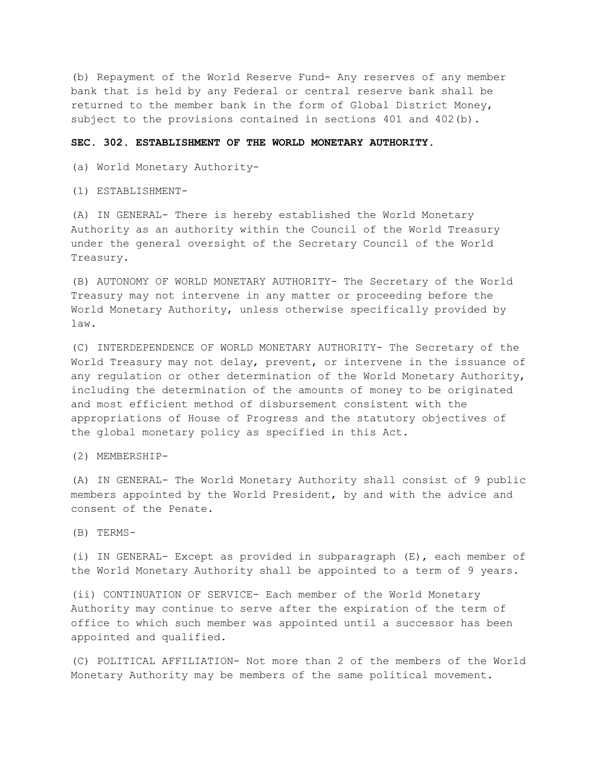(b) Repayment of the World Reserve Fund- Any reserves of any member bank that is held by any Federal or central reserve bank shall be returned to the member bank in the form of Global District Money, subject to the provisions contained in sections 401 and 402(b).

#### **SEC. 302. ESTABLISHMENT OF THE WORLD MONETARY AUTHORITY.**

(a) World Monetary Authority-

(1) ESTABLISHMENT-

(A) IN GENERAL- There is hereby established the World Monetary Authority as an authority within the Council of the World Treasury under the general oversight of the Secretary Council of the World Treasury.

(B) AUTONOMY OF WORLD MONETARY AUTHORITY- The Secretary of the World Treasury may not intervene in any matter or proceeding before the World Monetary Authority, unless otherwise specifically provided by law.

(C) INTERDEPENDENCE OF WORLD MONETARY AUTHORITY- The Secretary of the World Treasury may not delay, prevent, or intervene in the issuance of any regulation or other determination of the World Monetary Authority, including the determination of the amounts of money to be originated and most efficient method of disbursement consistent with the appropriations of House of Progress and the statutory objectives of the global monetary policy as specified in this Act.

(2) MEMBERSHIP-

(A) IN GENERAL- The World Monetary Authority shall consist of 9 public members appointed by the World President, by and with the advice and consent of the Penate.

(B) TERMS-

(i) IN GENERAL- Except as provided in subparagraph (E), each member of the World Monetary Authority shall be appointed to a term of 9 years.

(ii) CONTINUATION OF SERVICE- Each member of the World Monetary Authority may continue to serve after the expiration of the term of office to which such member was appointed until a successor has been appointed and qualified.

(C) POLITICAL AFFILIATION- Not more than 2 of the members of the World Monetary Authority may be members of the same political movement.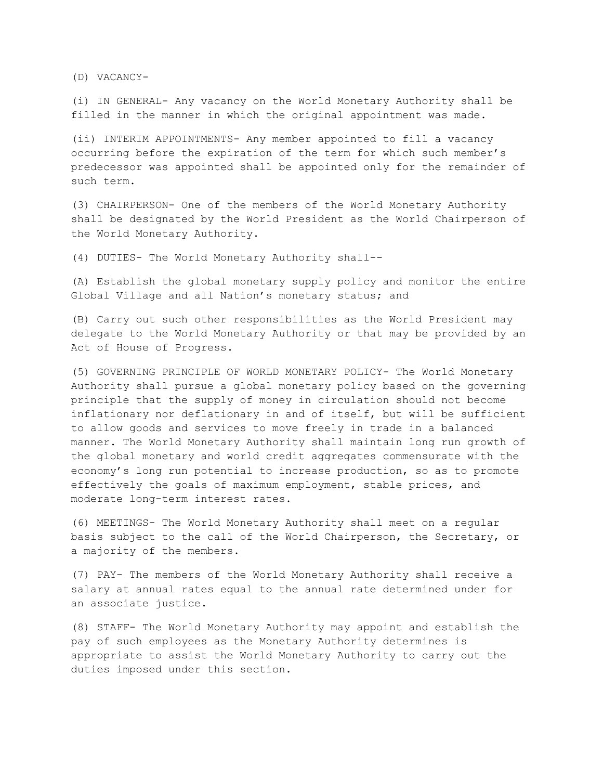(D) VACANCY-

(i) IN GENERAL- Any vacancy on the World Monetary Authority shall be filled in the manner in which the original appointment was made.

(ii) INTERIM APPOINTMENTS- Any member appointed to fill a vacancy occurring before the expiration of the term for which such member's predecessor was appointed shall be appointed only for the remainder of such term.

(3) CHAIRPERSON- One of the members of the World Monetary Authority shall be designated by the World President as the World Chairperson of the World Monetary Authority.

(4) DUTIES- The World Monetary Authority shall--

(A) Establish the global monetary supply policy and monitor the entire Global Village and all Nation's monetary status; and

(B) Carry out such other responsibilities as the World President may delegate to the World Monetary Authority or that may be provided by an Act of House of Progress.

(5) GOVERNING PRINCIPLE OF WORLD MONETARY POLICY- The World Monetary Authority shall pursue a global monetary policy based on the governing principle that the supply of money in circulation should not become inflationary nor deflationary in and of itself, but will be sufficient to allow goods and services to move freely in trade in a balanced manner. The World Monetary Authority shall maintain long run growth of the global monetary and world credit aggregates commensurate with the economy's long run potential to increase production, so as to promote effectively the goals of maximum employment, stable prices, and moderate long-term interest rates.

(6) MEETINGS- The World Monetary Authority shall meet on a regular basis subject to the call of the World Chairperson, the Secretary, or a majority of the members.

(7) PAY- The members of the World Monetary Authority shall receive a salary at annual rates equal to the annual rate determined under for an associate justice.

(8) STAFF- The World Monetary Authority may appoint and establish the pay of such employees as the Monetary Authority determines is appropriate to assist the World Monetary Authority to carry out the duties imposed under this section.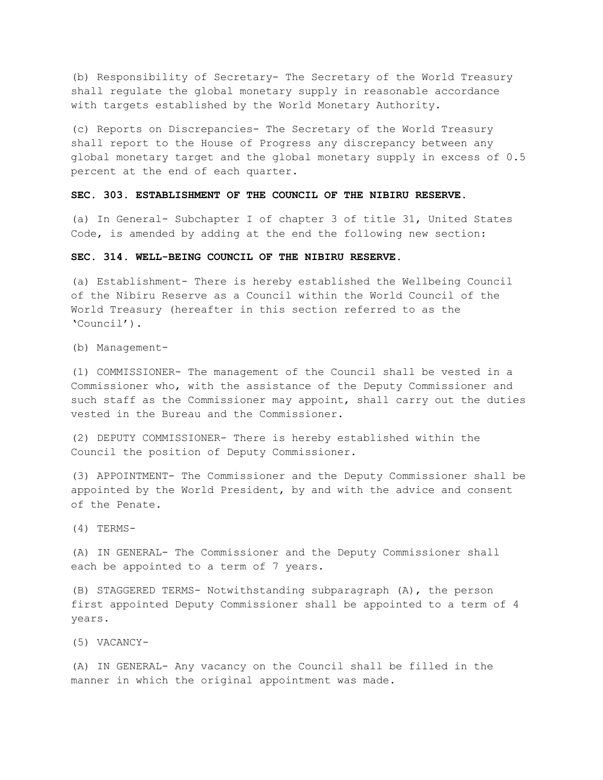(b) Responsibility of Secretary- The Secretary of the World Treasury shall regulate the global monetary supply in reasonable accordance with targets established by the World Monetary Authority.

(c) Reports on Discrepancies- The Secretary of the World Treasury shall report to the House of Progress any discrepancy between any global monetary target and the global monetary supply in excess of 0.5 percent at the end of each quarter.

#### **SEC. 303. ESTABLISHMENT OF THE COUNCIL OF THE NIBIRU RESERVE.**

(a) In General- Subchapter I of chapter 3 of title 31, United States Code, is amended by adding at the end the following new section:

#### **SEC. 314. WELL-BEING COUNCIL OF THE NIBIRU RESERVE.**

(a) Establishment- There is hereby established the Wellbeing Council of the Nibiru Reserve as a Council within the World Council of the World Treasury (hereafter in this section referred to as the 'Council').

(b) Management-

(1) COMMISSIONER- The management of the Council shall be vested in a Commissioner who, with the assistance of the Deputy Commissioner and such staff as the Commissioner may appoint, shall carry out the duties vested in the Bureau and the Commissioner.

(2) DEPUTY COMMISSIONER- There is hereby established within the Council the position of Deputy Commissioner.

(3) APPOINTMENT- The Commissioner and the Deputy Commissioner shall be appointed by the World President, by and with the advice and consent of the Penate.

(4) TERMS-

(A) IN GENERAL- The Commissioner and the Deputy Commissioner shall each be appointed to a term of 7 years.

(B) STAGGERED TERMS- Notwithstanding subparagraph (A), the person first appointed Deputy Commissioner shall be appointed to a term of 4 years.

(5) VACANCY-

(A) IN GENERAL- Any vacancy on the Council shall be filled in the manner in which the original appointment was made.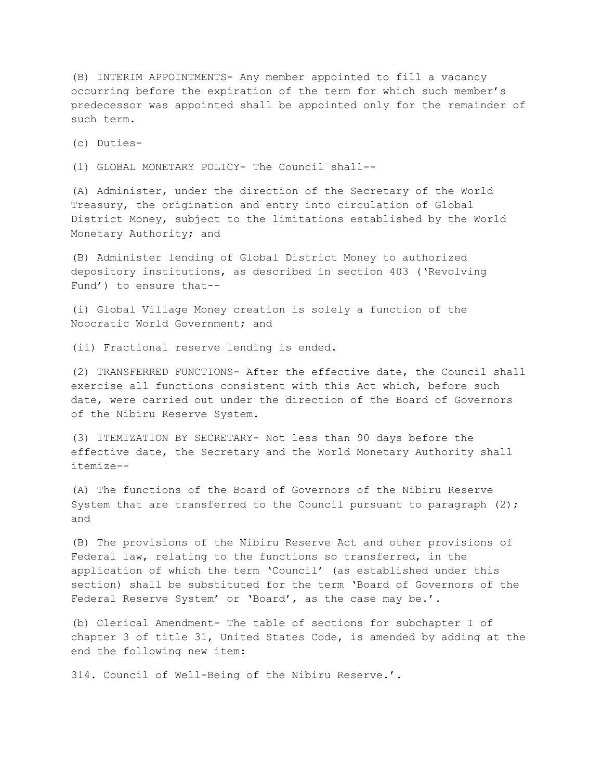(B) INTERIM APPOINTMENTS- Any member appointed to fill a vacancy occurring before the expiration of the term for which such member's predecessor was appointed shall be appointed only for the remainder of such term.

(c) Duties-

(1) GLOBAL MONETARY POLICY- The Council shall--

(A) Administer, under the direction of the Secretary of the World Treasury, the origination and entry into circulation of Global District Money, subject to the limitations established by the World Monetary Authority; and

(B) Administer lending of Global District Money to authorized depository institutions, as described in section 403 ('Revolving Fund') to ensure that--

(i) Global Village Money creation is solely a function of the Noocratic World Government; and

(ii) Fractional reserve lending is ended.

(2) TRANSFERRED FUNCTIONS- After the effective date, the Council shall exercise all functions consistent with this Act which, before such date, were carried out under the direction of the Board of Governors of the Nibiru Reserve System.

(3) ITEMIZATION BY SECRETARY- Not less than 90 days before the effective date, the Secretary and the World Monetary Authority shall itemize--

(A) The functions of the Board of Governors of the Nibiru Reserve System that are transferred to the Council pursuant to paragraph (2); and

(B) The provisions of the Nibiru Reserve Act and other provisions of Federal law, relating to the functions so transferred, in the application of which the term 'Council' (as established under this section) shall be substituted for the term 'Board of Governors of the Federal Reserve System' or 'Board', as the case may be.'.

(b) Clerical Amendment- The table of sections for subchapter I of chapter 3 of title 31, United States Code, is amended by adding at the end the following new item:

314. Council of Well-Being of the Nibiru Reserve.'.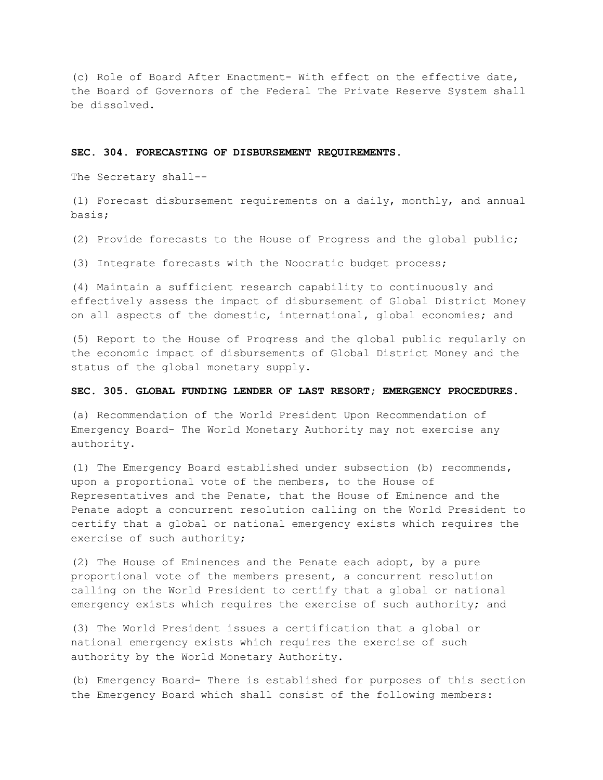(c) Role of Board After Enactment- With effect on the effective date, the Board of Governors of the Federal The Private Reserve System shall be dissolved.

#### **SEC. 304. FORECASTING OF DISBURSEMENT REQUIREMENTS.**

The Secretary shall--

(1) Forecast disbursement requirements on a daily, monthly, and annual basis;

(2) Provide forecasts to the House of Progress and the global public;

(3) Integrate forecasts with the Noocratic budget process;

(4) Maintain a sufficient research capability to continuously and effectively assess the impact of disbursement of Global District Money on all aspects of the domestic, international, global economies; and

(5) Report to the House of Progress and the global public regularly on the economic impact of disbursements of Global District Money and the status of the global monetary supply.

#### **SEC. 305. GLOBAL FUNDING LENDER OF LAST RESORT; EMERGENCY PROCEDURES.**

(a) Recommendation of the World President Upon Recommendation of Emergency Board- The World Monetary Authority may not exercise any authority.

(1) The Emergency Board established under subsection (b) recommends, upon a proportional vote of the members, to the House of Representatives and the Penate, that the House of Eminence and the Penate adopt a concurrent resolution calling on the World President to certify that a global or national emergency exists which requires the exercise of such authority;

(2) The House of Eminences and the Penate each adopt, by a pure proportional vote of the members present, a concurrent resolution calling on the World President to certify that a global or national emergency exists which requires the exercise of such authority; and

(3) The World President issues a certification that a global or national emergency exists which requires the exercise of such authority by the World Monetary Authority.

(b) Emergency Board- There is established for purposes of this section the Emergency Board which shall consist of the following members: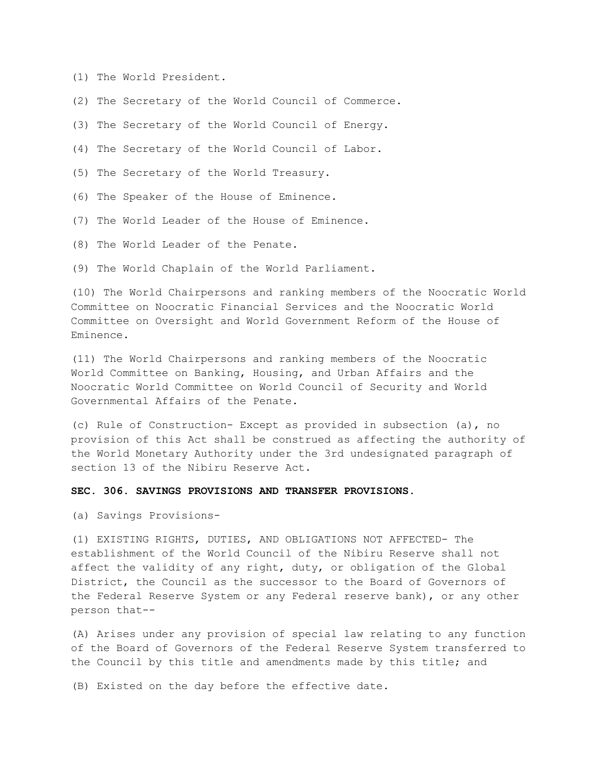- (1) The World President.
- (2) The Secretary of the World Council of Commerce.
- (3) The Secretary of the World Council of Energy.
- (4) The Secretary of the World Council of Labor.
- (5) The Secretary of the World Treasury.
- (6) The Speaker of the House of Eminence.
- (7) The World Leader of the House of Eminence.
- (8) The World Leader of the Penate.
- (9) The World Chaplain of the World Parliament.

(10) The World Chairpersons and ranking members of the Noocratic World Committee on Noocratic Financial Services and the Noocratic World Committee on Oversight and World Government Reform of the House of Eminence.

(11) The World Chairpersons and ranking members of the Noocratic World Committee on Banking, Housing, and Urban Affairs and the Noocratic World Committee on World Council of Security and World Governmental Affairs of the Penate.

(c) Rule of Construction- Except as provided in subsection (a), no provision of this Act shall be construed as affecting the authority of the World Monetary Authority under the 3rd undesignated paragraph of section 13 of the Nibiru Reserve Act.

#### **SEC. 306. SAVINGS PROVISIONS AND TRANSFER PROVISIONS.**

(a) Savings Provisions-

(1) EXISTING RIGHTS, DUTIES, AND OBLIGATIONS NOT AFFECTED- The establishment of the World Council of the Nibiru Reserve shall not affect the validity of any right, duty, or obligation of the Global District, the Council as the successor to the Board of Governors of the Federal Reserve System or any Federal reserve bank), or any other person that--

(A) Arises under any provision of special law relating to any function of the Board of Governors of the Federal Reserve System transferred to the Council by this title and amendments made by this title; and

(B) Existed on the day before the effective date.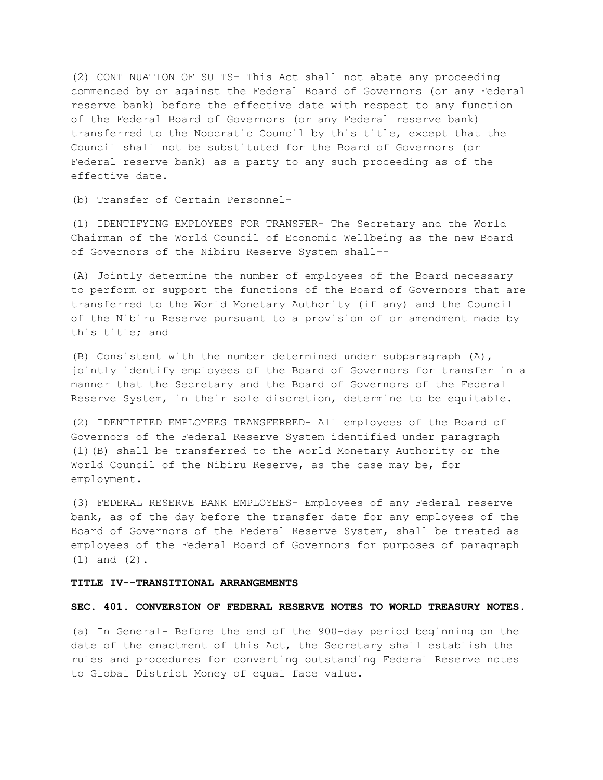(2) CONTINUATION OF SUITS- This Act shall not abate any proceeding commenced by or against the Federal Board of Governors (or any Federal reserve bank) before the effective date with respect to any function of the Federal Board of Governors (or any Federal reserve bank) transferred to the Noocratic Council by this title, except that the Council shall not be substituted for the Board of Governors (or Federal reserve bank) as a party to any such proceeding as of the effective date.

(b) Transfer of Certain Personnel-

(1) IDENTIFYING EMPLOYEES FOR TRANSFER- The Secretary and the World Chairman of the World Council of Economic Wellbeing as the new Board of Governors of the Nibiru Reserve System shall--

(A) Jointly determine the number of employees of the Board necessary to perform or support the functions of the Board of Governors that are transferred to the World Monetary Authority (if any) and the Council of the Nibiru Reserve pursuant to a provision of or amendment made by this title; and

(B) Consistent with the number determined under subparagraph (A), jointly identify employees of the Board of Governors for transfer in a manner that the Secretary and the Board of Governors of the Federal Reserve System, in their sole discretion, determine to be equitable.

(2) IDENTIFIED EMPLOYEES TRANSFERRED- All employees of the Board of Governors of the Federal Reserve System identified under paragraph (1)(B) shall be transferred to the World Monetary Authority or the World Council of the Nibiru Reserve, as the case may be, for employment.

(3) FEDERAL RESERVE BANK EMPLOYEES- Employees of any Federal reserve bank, as of the day before the transfer date for any employees of the Board of Governors of the Federal Reserve System, shall be treated as employees of the Federal Board of Governors for purposes of paragraph (1) and (2).

# **TITLE IV--TRANSITIONAL ARRANGEMENTS**

## **SEC. 401. CONVERSION OF FEDERAL RESERVE NOTES TO WORLD TREASURY NOTES.**

(a) In General- Before the end of the 900-day period beginning on the date of the enactment of this Act, the Secretary shall establish the rules and procedures for converting outstanding Federal Reserve notes to Global District Money of equal face value.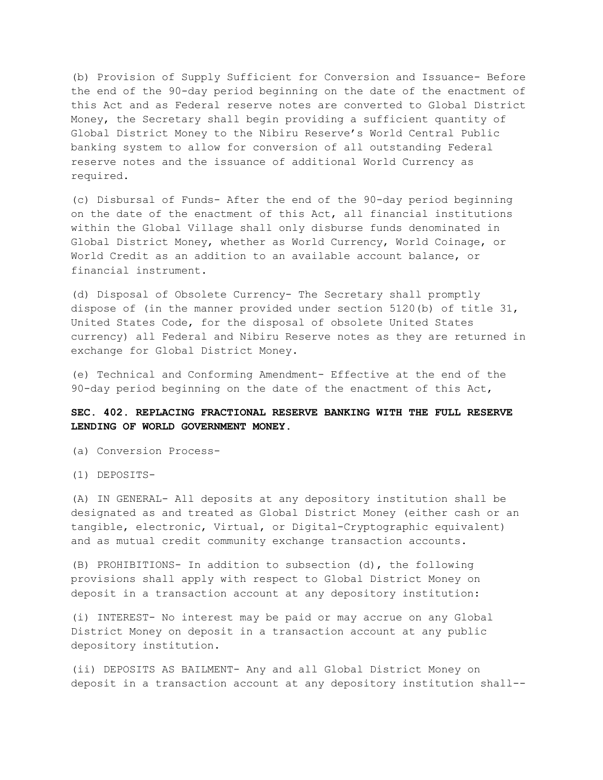(b) Provision of Supply Sufficient for Conversion and Issuance- Before the end of the 90-day period beginning on the date of the enactment of this Act and as Federal reserve notes are converted to Global District Money, the Secretary shall begin providing a sufficient quantity of Global District Money to the Nibiru Reserve's World Central Public banking system to allow for conversion of all outstanding Federal reserve notes and the issuance of additional World Currency as required.

(c) Disbursal of Funds- After the end of the 90-day period beginning on the date of the enactment of this Act, all financial institutions within the Global Village shall only disburse funds denominated in Global District Money, whether as World Currency, World Coinage, or World Credit as an addition to an available account balance, or financial instrument.

(d) Disposal of Obsolete Currency- The Secretary shall promptly dispose of (in the manner provided under section 5120(b) of title 31, United States Code, for the disposal of obsolete United States currency) all Federal and Nibiru Reserve notes as they are returned in exchange for Global District Money.

(e) Technical and Conforming Amendment- Effective at the end of the 90-day period beginning on the date of the enactment of this Act,

# **SEC. 402. REPLACING FRACTIONAL RESERVE BANKING WITH THE FULL RESERVE LENDING OF WORLD GOVERNMENT MONEY.**

(a) Conversion Process-

(1) DEPOSITS-

(A) IN GENERAL- All deposits at any depository institution shall be designated as and treated as Global District Money (either cash or an tangible, electronic, Virtual, or Digital-Cryptographic equivalent) and as mutual credit community exchange transaction accounts.

(B) PROHIBITIONS- In addition to subsection (d), the following provisions shall apply with respect to Global District Money on deposit in a transaction account at any depository institution:

(i) INTEREST- No interest may be paid or may accrue on any Global District Money on deposit in a transaction account at any public depository institution.

(ii) DEPOSITS AS BAILMENT- Any and all Global District Money on deposit in a transaction account at any depository institution shall--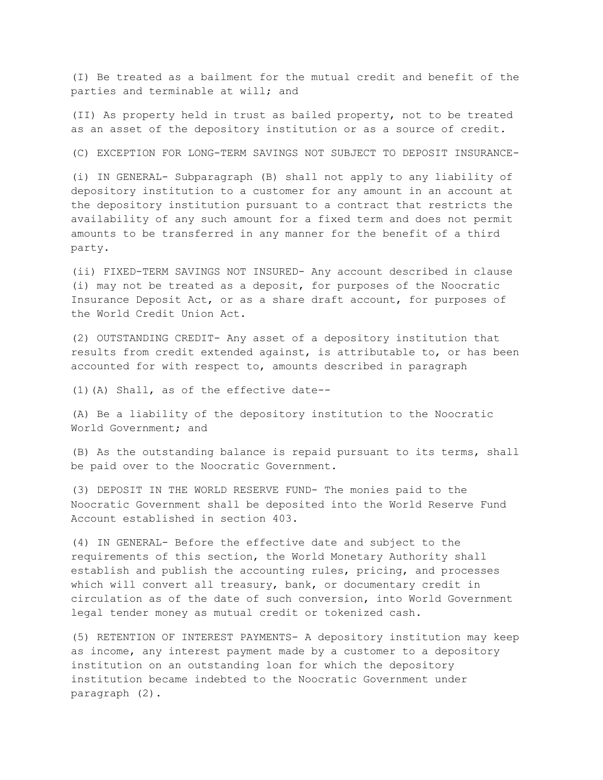(I) Be treated as a bailment for the mutual credit and benefit of the parties and terminable at will; and

(II) As property held in trust as bailed property, not to be treated as an asset of the depository institution or as a source of credit.

(C) EXCEPTION FOR LONG-TERM SAVINGS NOT SUBJECT TO DEPOSIT INSURANCE-

(i) IN GENERAL- Subparagraph (B) shall not apply to any liability of depository institution to a customer for any amount in an account at the depository institution pursuant to a contract that restricts the availability of any such amount for a fixed term and does not permit amounts to be transferred in any manner for the benefit of a third party.

(ii) FIXED-TERM SAVINGS NOT INSURED- Any account described in clause (i) may not be treated as a deposit, for purposes of the Noocratic Insurance Deposit Act, or as a share draft account, for purposes of the World Credit Union Act.

(2) OUTSTANDING CREDIT- Any asset of a depository institution that results from credit extended against, is attributable to, or has been accounted for with respect to, amounts described in paragraph

(1)(A) Shall, as of the effective date--

(A) Be a liability of the depository institution to the Noocratic World Government; and

(B) As the outstanding balance is repaid pursuant to its terms, shall be paid over to the Noocratic Government.

(3) DEPOSIT IN THE WORLD RESERVE FUND- The monies paid to the Noocratic Government shall be deposited into the World Reserve Fund Account established in section 403.

(4) IN GENERAL- Before the effective date and subject to the requirements of this section, the World Monetary Authority shall establish and publish the accounting rules, pricing, and processes which will convert all treasury, bank, or documentary credit in circulation as of the date of such conversion, into World Government legal tender money as mutual credit or tokenized cash.

(5) RETENTION OF INTEREST PAYMENTS- A depository institution may keep as income, any interest payment made by a customer to a depository institution on an outstanding loan for which the depository institution became indebted to the Noocratic Government under paragraph (2).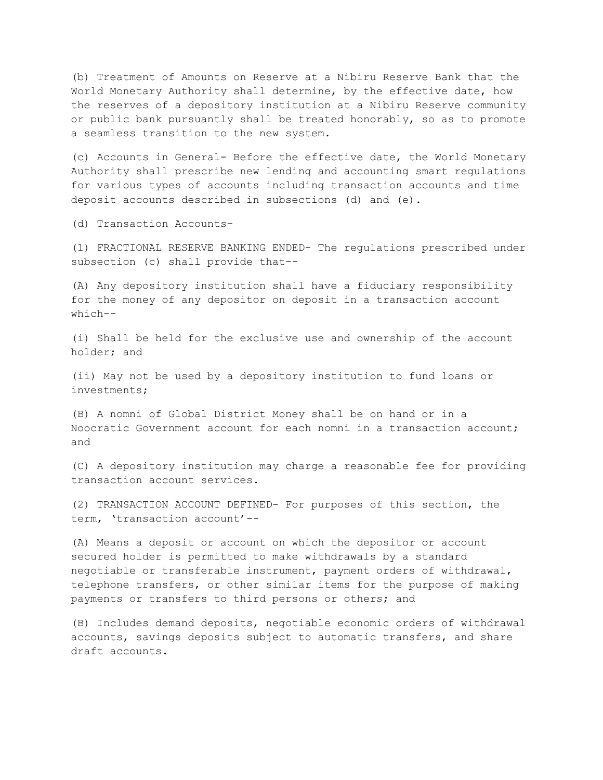(b) Treatment of Amounts on Reserve at a Nibiru Reserve Bank that the World Monetary Authority shall determine, by the effective date, how the reserves of a depository institution at a Nibiru Reserve community or public bank pursuantly shall be treated honorably, so as to promote a seamless transition to the new system.

(c) Accounts in General- Before the effective date, the World Monetary Authority shall prescribe new lending and accounting smart regulations for various types of accounts including transaction accounts and time deposit accounts described in subsections (d) and (e).

(d) Transaction Accounts-

(1) FRACTIONAL RESERVE BANKING ENDED- The regulations prescribed under subsection (c) shall provide that--

(A) Any depository institution shall have a fiduciary responsibility for the money of any depositor on deposit in a transaction account which--

(i) Shall be held for the exclusive use and ownership of the account holder; and

(ii) May not be used by a depository institution to fund loans or investments;

(B) A nomni of Global District Money shall be on hand or in a Noocratic Government account for each nomni in a transaction account; and

(C) A depository institution may charge a reasonable fee for providing transaction account services.

(2) TRANSACTION ACCOUNT DEFINED- For purposes of this section, the term, 'transaction account'--

(A) Means a deposit or account on which the depositor or account secured holder is permitted to make withdrawals by a standard negotiable or transferable instrument, payment orders of withdrawal, telephone transfers, or other similar items for the purpose of making payments or transfers to third persons or others; and

(B) Includes demand deposits, negotiable economic orders of withdrawal accounts, savings deposits subject to automatic transfers, and share draft accounts.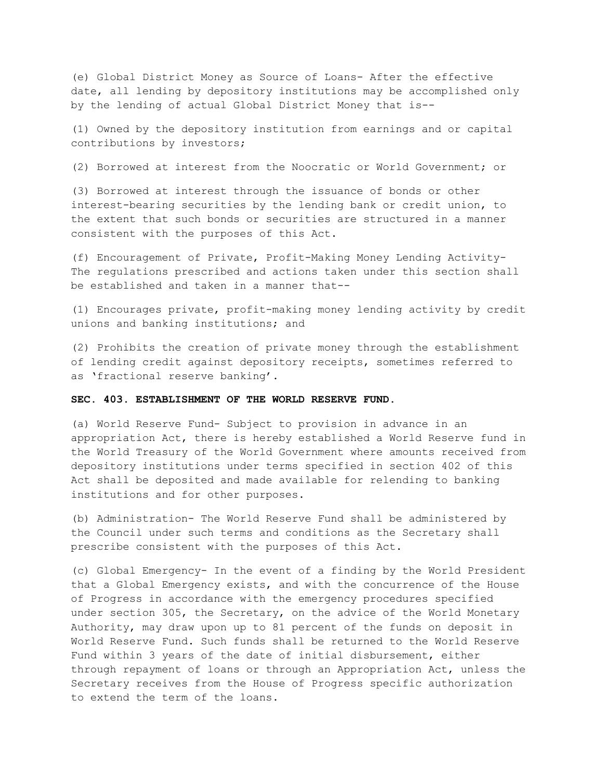(e) Global District Money as Source of Loans- After the effective date, all lending by depository institutions may be accomplished only by the lending of actual Global District Money that is--

(1) Owned by the depository institution from earnings and or capital contributions by investors;

(2) Borrowed at interest from the Noocratic or World Government; or

(3) Borrowed at interest through the issuance of bonds or other interest-bearing securities by the lending bank or credit union, to the extent that such bonds or securities are structured in a manner consistent with the purposes of this Act.

(f) Encouragement of Private, Profit-Making Money Lending Activity-The regulations prescribed and actions taken under this section shall be established and taken in a manner that--

(1) Encourages private, profit-making money lending activity by credit unions and banking institutions; and

(2) Prohibits the creation of private money through the establishment of lending credit against depository receipts, sometimes referred to as 'fractional reserve banking'.

## **SEC. 403. ESTABLISHMENT OF THE WORLD RESERVE FUND.**

(a) World Reserve Fund- Subject to provision in advance in an appropriation Act, there is hereby established a World Reserve fund in the World Treasury of the World Government where amounts received from depository institutions under terms specified in section 402 of this Act shall be deposited and made available for relending to banking institutions and for other purposes.

(b) Administration- The World Reserve Fund shall be administered by the Council under such terms and conditions as the Secretary shall prescribe consistent with the purposes of this Act.

(c) Global Emergency- In the event of a finding by the World President that a Global Emergency exists, and with the concurrence of the House of Progress in accordance with the emergency procedures specified under section 305, the Secretary, on the advice of the World Monetary Authority, may draw upon up to 81 percent of the funds on deposit in World Reserve Fund. Such funds shall be returned to the World Reserve Fund within 3 years of the date of initial disbursement, either through repayment of loans or through an Appropriation Act, unless the Secretary receives from the House of Progress specific authorization to extend the term of the loans.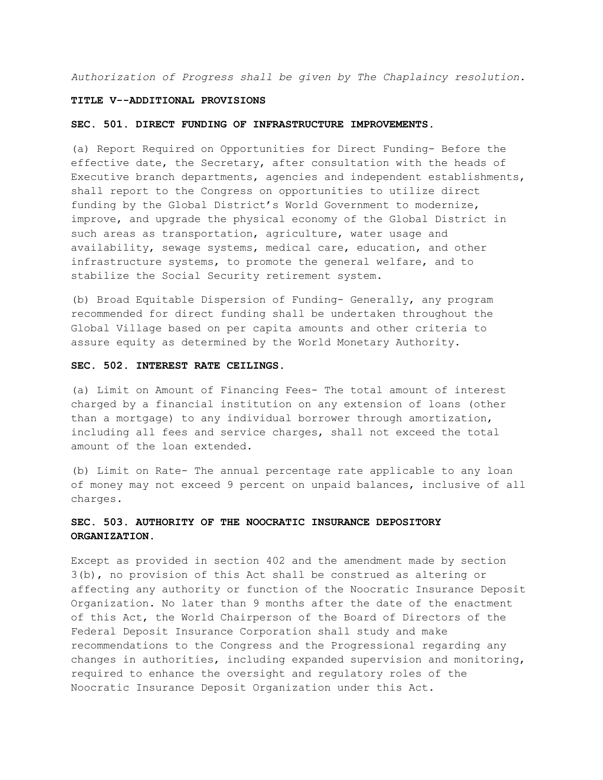*Authorization of Progress shall be given by The Chaplaincy resolution.*

#### **TITLE V--ADDITIONAL PROVISIONS**

#### **SEC. 501. DIRECT FUNDING OF INFRASTRUCTURE IMPROVEMENTS.**

(a) Report Required on Opportunities for Direct Funding- Before the effective date, the Secretary, after consultation with the heads of Executive branch departments, agencies and independent establishments, shall report to the Congress on opportunities to utilize direct funding by the Global District's World Government to modernize, improve, and upgrade the physical economy of the Global District in such areas as transportation, agriculture, water usage and availability, sewage systems, medical care, education, and other infrastructure systems, to promote the general welfare, and to stabilize the Social Security retirement system.

(b) Broad Equitable Dispersion of Funding- Generally, any program recommended for direct funding shall be undertaken throughout the Global Village based on per capita amounts and other criteria to assure equity as determined by the World Monetary Authority.

# **SEC. 502. INTEREST RATE CEILINGS.**

(a) Limit on Amount of Financing Fees- The total amount of interest charged by a financial institution on any extension of loans (other than a mortgage) to any individual borrower through amortization, including all fees and service charges, shall not exceed the total amount of the loan extended.

(b) Limit on Rate- The annual percentage rate applicable to any loan of money may not exceed 9 percent on unpaid balances, inclusive of all charges.

# **SEC. 503. AUTHORITY OF THE NOOCRATIC INSURANCE DEPOSITORY ORGANIZATION.**

Except as provided in section 402 and the amendment made by section 3(b), no provision of this Act shall be construed as altering or affecting any authority or function of the Noocratic Insurance Deposit Organization. No later than 9 months after the date of the enactment of this Act, the World Chairperson of the Board of Directors of the Federal Deposit Insurance Corporation shall study and make recommendations to the Congress and the Progressional regarding any changes in authorities, including expanded supervision and monitoring, required to enhance the oversight and regulatory roles of the Noocratic Insurance Deposit Organization under this Act.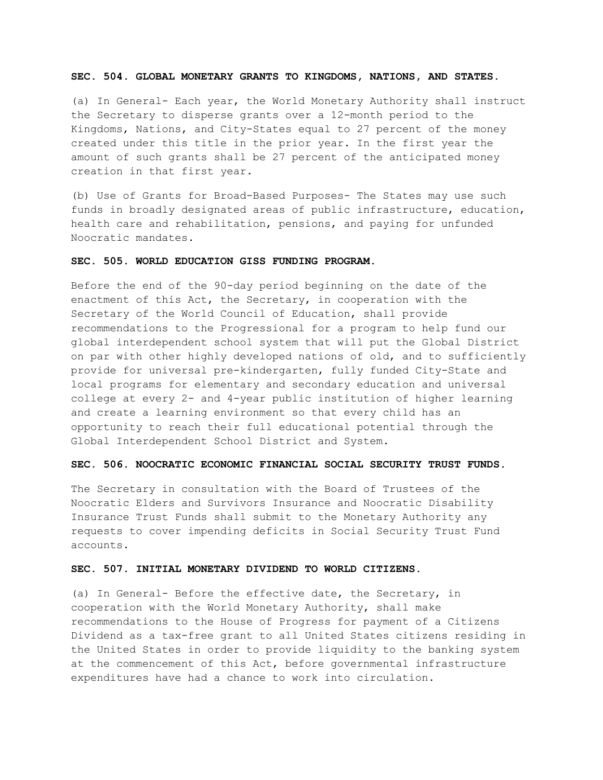## **SEC. 504. GLOBAL MONETARY GRANTS TO KINGDOMS, NATIONS, AND STATES.**

(a) In General- Each year, the World Monetary Authority shall instruct the Secretary to disperse grants over a 12-month period to the Kingdoms, Nations, and City-States equal to 27 percent of the money created under this title in the prior year. In the first year the amount of such grants shall be 27 percent of the anticipated money creation in that first year.

(b) Use of Grants for Broad-Based Purposes- The States may use such funds in broadly designated areas of public infrastructure, education, health care and rehabilitation, pensions, and paying for unfunded Noocratic mandates.

# **SEC. 505. WORLD EDUCATION GISS FUNDING PROGRAM.**

Before the end of the 90-day period beginning on the date of the enactment of this Act, the Secretary, in cooperation with the Secretary of the World Council of Education, shall provide recommendations to the Progressional for a program to help fund our global interdependent school system that will put the Global District on par with other highly developed nations of old, and to sufficiently provide for universal pre-kindergarten, fully funded City-State and local programs for elementary and secondary education and universal college at every 2- and 4-year public institution of higher learning and create a learning environment so that every child has an opportunity to reach their full educational potential through the Global Interdependent School District and System.

# **SEC. 506. NOOCRATIC ECONOMIC FINANCIAL SOCIAL SECURITY TRUST FUNDS.**

The Secretary in consultation with the Board of Trustees of the Noocratic Elders and Survivors Insurance and Noocratic Disability Insurance Trust Funds shall submit to the Monetary Authority any requests to cover impending deficits in Social Security Trust Fund accounts.

#### **SEC. 507. INITIAL MONETARY DIVIDEND TO WORLD CITIZENS.**

(a) In General- Before the effective date, the Secretary, in cooperation with the World Monetary Authority, shall make recommendations to the House of Progress for payment of a Citizens Dividend as a tax-free grant to all United States citizens residing in the United States in order to provide liquidity to the banking system at the commencement of this Act, before governmental infrastructure expenditures have had a chance to work into circulation.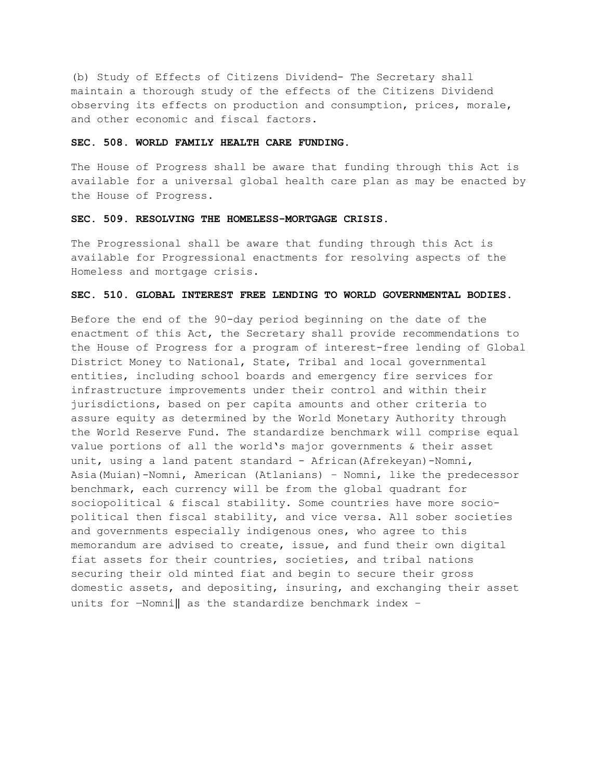(b) Study of Effects of Citizens Dividend- The Secretary shall maintain a thorough study of the effects of the Citizens Dividend observing its effects on production and consumption, prices, morale, and other economic and fiscal factors.

#### **SEC. 508. WORLD FAMILY HEALTH CARE FUNDING.**

The House of Progress shall be aware that funding through this Act is available for a universal global health care plan as may be enacted by the House of Progress.

# **SEC. 509. RESOLVING THE HOMELESS-MORTGAGE CRISIS.**

The Progressional shall be aware that funding through this Act is available for Progressional enactments for resolving aspects of the Homeless and mortgage crisis.

# **SEC. 510. GLOBAL INTEREST FREE LENDING TO WORLD GOVERNMENTAL BODIES.**

Before the end of the 90-day period beginning on the date of the enactment of this Act, the Secretary shall provide recommendations to the House of Progress for a program of interest-free lending of Global District Money to National, State, Tribal and local governmental entities, including school boards and emergency fire services for infrastructure improvements under their control and within their jurisdictions, based on per capita amounts and other criteria to assure equity as determined by the World Monetary Authority through the World Reserve Fund. The standardize benchmark will comprise equal value portions of all the world's major governments & their asset unit, using a land patent standard - African(Afrekeyan)-Nomni, Asia(Muian)-Nomni, American (Atlanians) – Nomni, like the predecessor benchmark, each currency will be from the global quadrant for sociopolitical & fiscal stability. Some countries have more sociopolitical then fiscal stability, and vice versa. All sober societies and governments especially indigenous ones, who agree to this memorandum are advised to create, issue, and fund their own digital fiat assets for their countries, societies, and tribal nations securing their old minted fiat and begin to secure their gross domestic assets, and depositing, insuring, and exchanging their asset units for ―Nomni‖ as the standardize benchmark index –